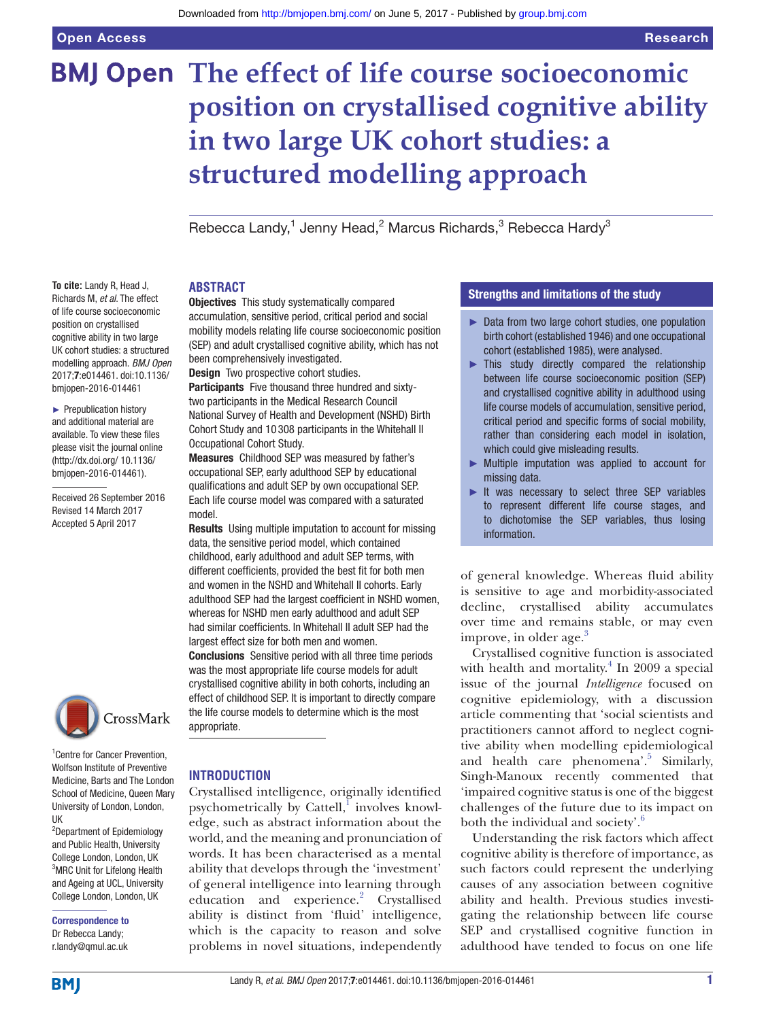# **BMJ Open The effect of life course socioeconomic position on crystallised cognitive ability in two large UK cohort studies: a structured modelling approach**

Rebecca Landy,<sup>1</sup> Jenny Head,<sup>2</sup> Marcus Richards,<sup>3</sup> Rebecca Hardy<sup>3</sup>

## **Abstract**

Richards M, *et al*. The effect of life course socioeconomic position on crystallised cognitive ability in two large UK cohort studies: a structured modelling approach. *BMJ Open* 2017;7:e014461. doi:10.1136/ bmjopen-2016-014461

**To cite:** Landy R, Head J,

► Prepublication history and additional material are available. To view these files please visit the journal online [\(http://dx.doi.org/ 10.1136/](http://dx.doi.org/ 10.1136/bmjopen-2016-014461) [bmjopen-2016-014461](http://dx.doi.org/ 10.1136/bmjopen-2016-014461)).

Received 26 September 2016 Revised 14 March 2017 Accepted 5 April 2017



1 Centre for Cancer Prevention, Wolfson Institute of Preventive Medicine, Barts and The London School of Medicine, Queen Mary University of London, London, UK

2 Department of Epidemiology and Public Health, University College London, London, UK <sup>3</sup>MRC Unit for Lifelong Health and Ageing at UCL, University College London, London, UK

Correspondence to Dr Rebecca Landy; r.landy@qmul.ac.uk **Objectives** This study systematically compared

accumulation, sensitive period, critical period and social mobility models relating life course socioeconomic position (SEP) and adult crystallised cognitive ability, which has not been comprehensively investigated.

**Design** Two prospective cohort studies.

Participants Five thousand three hundred and sixtytwo participants in the Medical Research Council National Survey of Health and Development (NSHD) Birth Cohort Study and 10 308 participants in the Whitehall II Occupational Cohort Study.

Measures Childhood SEP was measured by father's occupational SEP, early adulthood SEP by educational qualifications and adult SEP by own occupational SEP. Each life course model was compared with a saturated model.

Results Using multiple imputation to account for missing data, the sensitive period model, which contained childhood, early adulthood and adult SEP terms, with different coefficients, provided the best fit for both men and women in the NSHD and Whitehall II cohorts. Early adulthood SEP had the largest coefficient in NSHD women, whereas for NSHD men early adulthood and adult SEP had similar coefficients. In Whitehall II adult SEP had the largest effect size for both men and women. Conclusions Sensitive period with all three time periods was the most appropriate life course models for adult crystallised cognitive ability in both cohorts, including an effect of childhood SEP. It is important to directly compare the life course models to determine which is the most appropriate.

## **Introduction**

Crystallised intelligence, originally identified psychometrically by Cattell, $\overline{1}$  $\overline{1}$  $\overline{1}$  involves knowledge, such as abstract information about the world, and the meaning and pronunciation of words. It has been characterised as a mental ability that develops through the 'investment' of general intelligence into learning through education and experience.<sup>[2](#page-8-1)</sup> Crystallised ability is distinct from 'fluid' intelligence, which is the capacity to reason and solve problems in novel situations, independently

## Strengths and limitations of the study

- ► Data from two large cohort studies, one population birth cohort (established 1946) and one occupational cohort (established 1985), were analysed.
- ► This study directly compared the relationship between life course socioeconomic position (SEP) and crystallised cognitive ability in adulthood using life course models of accumulation, sensitive period, critical period and specific forms of social mobility, rather than considering each model in isolation, which could give misleading results.
- ► Multiple imputation was applied to account for missing data.
- It was necessary to select three SEP variables to represent different life course stages, and to dichotomise the SEP variables, thus losing information.

of general knowledge. Whereas fluid ability is sensitive to age and morbidity-associated decline, crystallised ability accumulates over time and remains stable, or may even improve, in older age. $3$ 

Crystallised cognitive function is associated with health and mortality.<sup>[4](#page-8-3)</sup> In 2009 a special issue of the journal *Intelligence* focused on cognitive epidemiology, with a discussion article commenting that 'social scientists and practitioners cannot afford to neglect cognitive ability when modelling epidemiological and health care phenomena'.<sup>5</sup> Similarly, Singh-Manoux recently commented that 'impaired cognitive status is one of the biggest challenges of the future due to its impact on both the individual and society'.<sup>[6](#page-8-5)</sup>

Understanding the risk factors which affect cognitive ability is therefore of importance, as such factors could represent the underlying causes of any association between cognitive ability and health. Previous studies investigating the relationship between life course SEP and crystallised cognitive function in adulthood have tended to focus on one life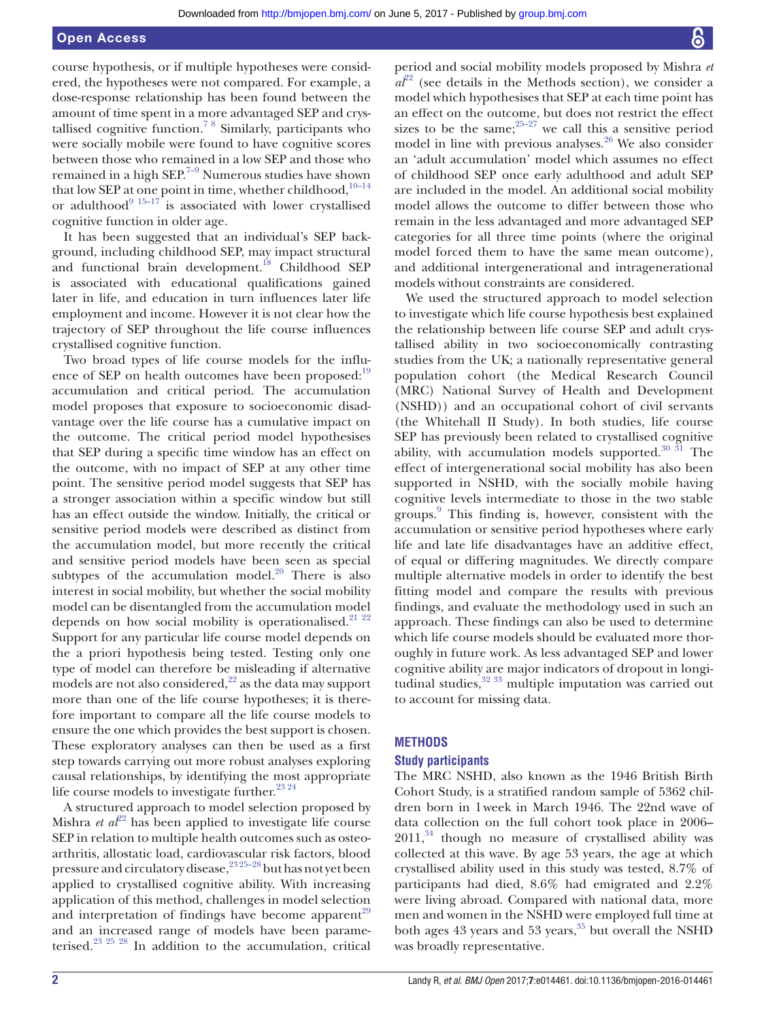course hypothesis, or if multiple hypotheses were considered, the hypotheses were not compared. For example, a dose-response relationship has been found between the amount of time spent in a more advantaged SEP and crystallised cognitive function[.7 8](#page-8-6) Similarly, participants who were socially mobile were found to have cognitive scores between those who remained in a low SEP and those who remained in a high SEP.<sup>7–9</sup> Numerous studies have shown that low SEP at one point in time, whether childhood, $10-14$ or adulthood<sup>[9 15–17](#page-8-8)</sup> is associated with lower crystallised cognitive function in older age.

It has been suggested that an individual's SEP background, including childhood SEP, may impact structural and functional brain development.<sup>18</sup> Childhood SEP is associated with educational qualifications gained later in life, and education in turn influences later life employment and income. However it is not clear how the trajectory of SEP throughout the life course influences crystallised cognitive function.

Two broad types of life course models for the influence of SEP on health outcomes have been proposed:<sup>19</sup> accumulation and critical period. The accumulation model proposes that exposure to socioeconomic disadvantage over the life course has a cumulative impact on the outcome. The critical period model hypothesises that SEP during a specific time window has an effect on the outcome, with no impact of SEP at any other time point. The sensitive period model suggests that SEP has a stronger association within a specific window but still has an effect outside the window. Initially, the critical or sensitive period models were described as distinct from the accumulation model, but more recently the critical and sensitive period models have been seen as special subtypes of the accumulation model. $20$  There is also interest in social mobility, but whether the social mobility model can be disentangled from the accumulation model depends on how social mobility is operationalised.<sup>21</sup>  $22$ Support for any particular life course model depends on the a priori hypothesis being tested. Testing only one type of model can therefore be misleading if alternative models are not also considered, $2^2$  as the data may support more than one of the life course hypotheses; it is therefore important to compare all the life course models to ensure the one which provides the best support is chosen. These exploratory analyses can then be used as a first step towards carrying out more robust analyses exploring causal relationships, by identifying the most appropriate life course models to investigate further. $23\,24$ 

A structured approach to model selection proposed by Mishra *et al*<sup>[22](#page-8-13)</sup> has been applied to investigate life course SEP in relation to multiple health outcomes such as osteoarthritis, allostatic load, cardiovascular risk factors, blood pressure and circulatory disease[,23 25–28](#page-8-14) but has not yet been applied to crystallised cognitive ability. With increasing application of this method, challenges in model selection and interpretation of findings have become apparent<sup>29</sup> and an increased range of models have been parameterised.[23 25 28](#page-8-14) In addition to the accumulation, critical

period and social mobility models proposed by Mishra *et*   $a^{2}$ <sup>2</sup> (see details in the Methods section), we consider a model which hypothesises that SEP at each time point has an effect on the outcome, but does not restrict the effect sizes to be the same;  $25-27$  we call this a sensitive period model in line with previous analyses. $26$  We also consider an 'adult accumulation' model which assumes no effect of childhood SEP once early adulthood and adult SEP are included in the model. An additional social mobility model allows the outcome to differ between those who remain in the less advantaged and more advantaged SEP categories for all three time points (where the original model forced them to have the same mean outcome), and additional intergenerational and intragenerational models without constraints are considered.

We used the structured approach to model selection to investigate which life course hypothesis best explained the relationship between life course SEP and adult crystallised ability in two socioeconomically contrasting studies from the UK; a nationally representative general population cohort (the Medical Research Council (MRC) National Survey of Health and Development (NSHD)) and an occupational cohort of civil servants (the Whitehall II Study). In both studies, life course SEP has previously been related to crystallised cognitive ability, with accumulation models supported. $30\,31$  The effect of intergenerational social mobility has also been supported in NSHD, with the socially mobile having cognitive levels intermediate to those in the two stable groups. [9](#page-8-8) This finding is, however, consistent with the accumulation or sensitive period hypotheses where early life and late life disadvantages have an additive effect, of equal or differing magnitudes. We directly compare multiple alternative models in order to identify the best fitting model and compare the results with previous findings, and evaluate the methodology used in such an approach. These findings can also be used to determine which life course models should be evaluated more thoroughly in future work. As less advantaged SEP and lower cognitive ability are major indicators of dropout in longitudinal studies,<sup>32 33</sup> multiple imputation was carried out to account for missing data.

#### **Methods**

#### **Study participants**

The MRC NSHD, also known as the 1946 British Birth Cohort Study, is a stratified random sample of 5362 children born in 1week in March 1946. The 22nd wave of data collection on the full cohort took place in 2006–  $2011$ ,  $34$  though no measure of crystallised ability was collected at this wave. By age 53 years, the age at which crystallised ability used in this study was tested, 8.7% of participants had died, 8.6% had emigrated and 2.2% were living abroad. Compared with national data, more men and women in the NSHD were employed full time at both ages 43 years and 53 years, [35](#page-9-2) but overall the NSHD was broadly representative.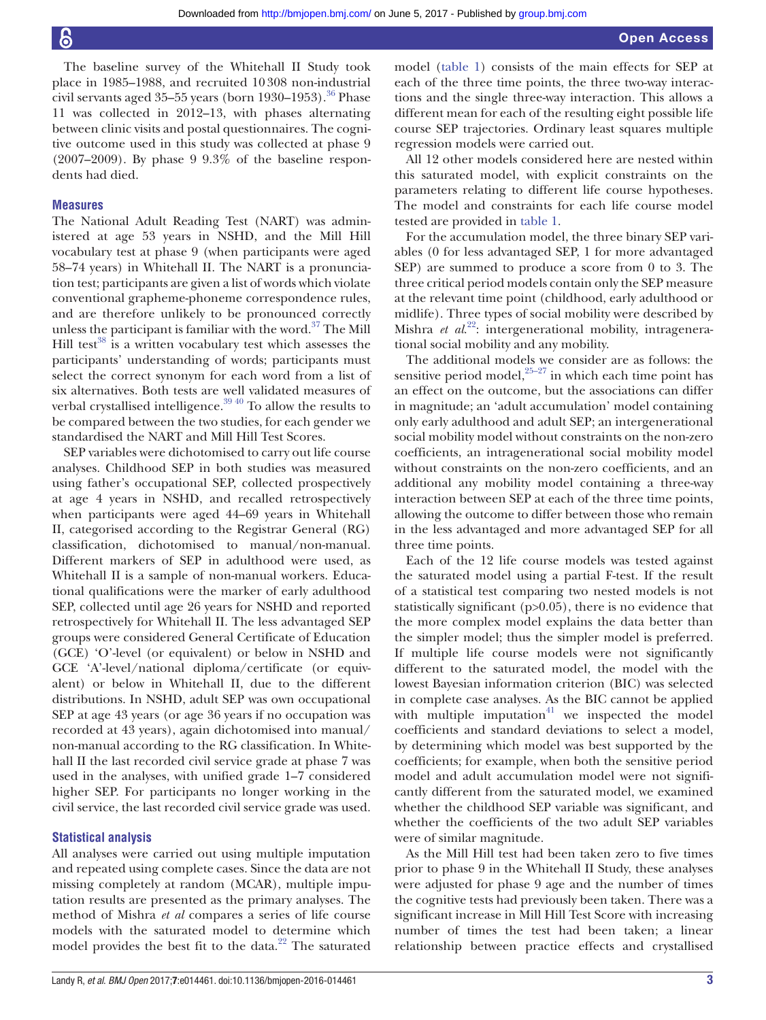The baseline survey of the Whitehall II Study took place in 1985–1988, and recruited 10308 non-industrial civil servants aged 35–55 years (born 1930–1953). $36$  Phase 11 was collected in 2012–13, with phases alternating between clinic visits and postal questionnaires. The cognitive outcome used in this study was collected at phase 9 (2007–2009). By phase 9 9.3% of the baseline respondents had died.

#### **Measures**

The National Adult Reading Test (NART) was administered at age 53 years in NSHD, and the Mill Hill vocabulary test at phase 9 (when participants were aged 58–74 years) in Whitehall II. The NART is a pronunciation test; participants are given a list of words which violate conventional grapheme-phoneme correspondence rules, and are therefore unlikely to be pronounced correctly unless the participant is familiar with the word. $37$  The Mill Hill test $38$  is a written vocabulary test which assesses the participants' understanding of words; participants must select the correct synonym for each word from a list of six alternatives. Both tests are well validated measures of verbal crystallised intelligence. $39\frac{40}{10}$  To allow the results to be compared between the two studies, for each gender we standardised the NART and Mill Hill Test Scores.

SEP variables were dichotomised to carry out life course analyses. Childhood SEP in both studies was measured using father's occupational SEP, collected prospectively at age 4 years in NSHD, and recalled retrospectively when participants were aged 44–69 years in Whitehall II, categorised according to the Registrar General (RG) classification, dichotomised to manual/non-manual. Different markers of SEP in adulthood were used, as Whitehall II is a sample of non-manual workers. Educational qualifications were the marker of early adulthood SEP, collected until age 26 years for NSHD and reported retrospectively for Whitehall II. The less advantaged SEP groups were considered General Certificate of Education (GCE) 'O'-level (or equivalent) or below in NSHD and GCE 'A'-level/national diploma/certificate (or equivalent) or below in Whitehall II, due to the different distributions. In NSHD, adult SEP was own occupational SEP at age 43 years (or age 36 years if no occupation was recorded at 43 years), again dichotomised into manual/ non-manual according to the RG classification. In Whitehall II the last recorded civil service grade at phase 7 was used in the analyses, with unified grade 1–7 considered higher SEP. For participants no longer working in the civil service, the last recorded civil service grade was used.

#### **Statistical analysis**

All analyses were carried out using multiple imputation and repeated using complete cases. Since the data are not missing completely at random (MCAR), multiple imputation results are presented as the primary analyses. The method of Mishra *et al* compares a series of life course models with the saturated model to determine which model provides the best fit to the data. $22$  The saturated

model [\(table](#page-3-0) 1) consists of the main effects for SEP at each of the three time points, the three two-way interactions and the single three-way interaction. This allows a different mean for each of the resulting eight possible life course SEP trajectories. Ordinary least squares multiple regression models were carried out.

All 12 other models considered here are nested within this saturated model, with explicit constraints on the parameters relating to different life course hypotheses. The model and constraints for each life course model tested are provided in [table](#page-3-0) 1.

For the accumulation model, the three binary SEP variables (0 for less advantaged SEP, 1 for more advantaged SEP) are summed to produce a score from 0 to 3. The three critical period models contain only the SEP measure at the relevant time point (childhood, early adulthood or midlife). Three types of social mobility were described by Mishra *et al.*<sup>[22](#page-8-13)</sup>: intergenerational mobility, intragenerational social mobility and any mobility.

The additional models we consider are as follows: the sensitive period model, $25-27$  in which each time point has an effect on the outcome, but the associations can differ in magnitude; an 'adult accumulation' model containing only early adulthood and adult SEP; an intergenerational social mobility model without constraints on the non-zero coefficients, an intragenerational social mobility model without constraints on the non-zero coefficients, and an additional any mobility model containing a three-way interaction between SEP at each of the three time points, allowing the outcome to differ between those who remain in the less advantaged and more advantaged SEP for all three time points.

Each of the 12 life course models was tested against the saturated model using a partial F-test. If the result of a statistical test comparing two nested models is not statistically significant (p>0.05), there is no evidence that the more complex model explains the data better than the simpler model; thus the simpler model is preferred. If multiple life course models were not significantly different to the saturated model, the model with the lowest Bayesian information criterion (BIC) was selected in complete case analyses. As the BIC cannot be applied with multiple imputation $41$  we inspected the model coefficients and standard deviations to select a model, by determining which model was best supported by the coefficients; for example, when both the sensitive period model and adult accumulation model were not significantly different from the saturated model, we examined whether the childhood SEP variable was significant, and whether the coefficients of the two adult SEP variables were of similar magnitude.

As the Mill Hill test had been taken zero to five times prior to phase 9 in the Whitehall II Study, these analyses were adjusted for phase 9 age and the number of times the cognitive tests had previously been taken. There was a significant increase in Mill Hill Test Score with increasing number of times the test had been taken; a linear relationship between practice effects and crystallised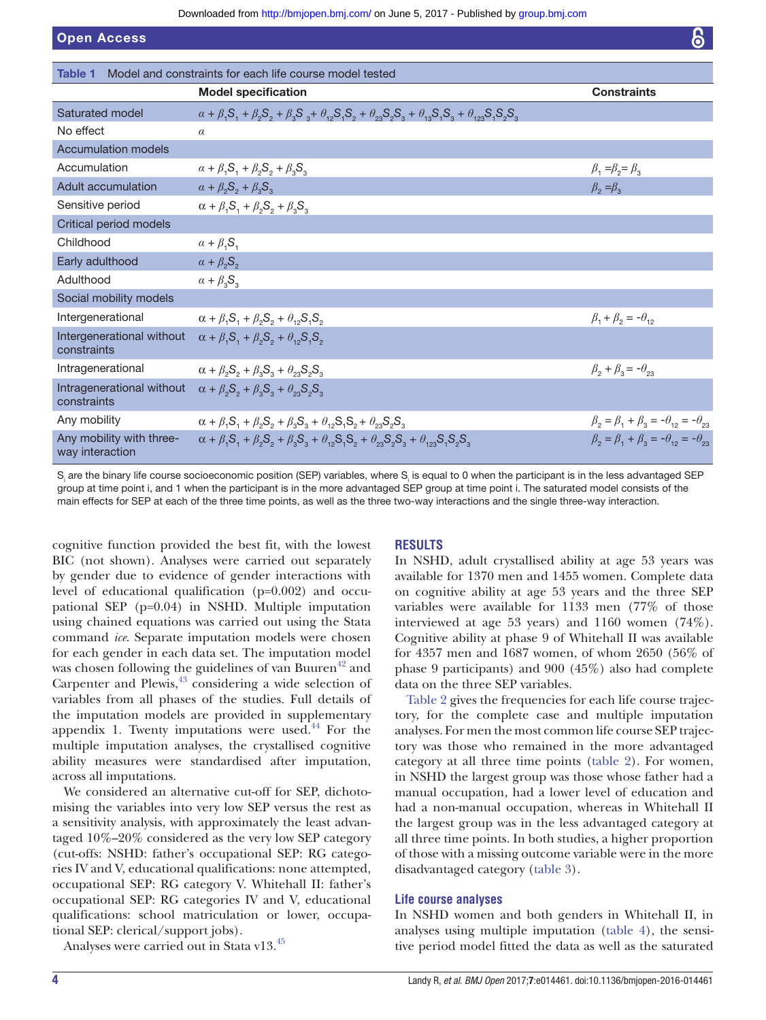<span id="page-3-0"></span>

| <b>Table 1</b>                              | Model and constraints for each life course model tested                                                                                         |                                                             |
|---------------------------------------------|-------------------------------------------------------------------------------------------------------------------------------------------------|-------------------------------------------------------------|
|                                             | <b>Model specification</b>                                                                                                                      | <b>Constraints</b>                                          |
| Saturated model                             | $\alpha + \beta_1 S_1 + \beta_2 S_2 + \beta_3 S_3 + \theta_{12} S_1 S_2 + \theta_{23} S_2 S_3 + \theta_{13} S_1 S_3 + \theta_{123} S_1 S_2 S_3$ |                                                             |
| No effect                                   | $\alpha$                                                                                                                                        |                                                             |
| <b>Accumulation models</b>                  |                                                                                                                                                 |                                                             |
| Accumulation                                | $\alpha + \beta_1 S_1 + \beta_2 S_2 + \beta_3 S_3$                                                                                              | $\beta_1 = \beta_2 = \beta_3$                               |
| Adult accumulation                          | $\alpha + \beta_2 S_2 + \beta_3 S_3$                                                                                                            | $\beta_2 = \beta_3$                                         |
| Sensitive period                            | $\alpha + \beta_1 S_1 + \beta_2 S_2 + \beta_3 S_3$                                                                                              |                                                             |
| Critical period models                      |                                                                                                                                                 |                                                             |
| Childhood                                   | $\alpha + \beta_1 S_1$                                                                                                                          |                                                             |
| Early adulthood                             | $\alpha + \beta_2 S_2$                                                                                                                          |                                                             |
| Adulthood                                   | $\alpha + \beta_3 S_3$                                                                                                                          |                                                             |
| Social mobility models                      |                                                                                                                                                 |                                                             |
| Intergenerational                           | $\alpha + \beta_1 S_1 + \beta_2 S_2 + \theta_{12} S_1 S_2$                                                                                      | $\beta_1 + \beta_2 = -\theta_{12}$                          |
| Intergenerational without<br>constraints    | $\alpha + \beta_1 S_1 + \beta_2 S_2 + \theta_{12} S_1 S_2$                                                                                      |                                                             |
| Intragenerational                           | $\alpha + \beta_2 S_2 + \beta_3 S_3 + \theta_{23} S_2 S_3$                                                                                      | $\beta_2 + \beta_3 = -\theta_{23}$                          |
| Intragenerational without<br>constraints    | $\alpha + \beta_2 S_2 + \beta_3 S_3 + \theta_{23} S_2 S_3$                                                                                      |                                                             |
| Any mobility                                | $\alpha + \beta_1 S_1 + \beta_2 S_2 + \beta_3 S_3 + \theta_{12} S_1 S_2 + \theta_{23} S_2 S_3$                                                  | $\beta_2 = \beta_1 + \beta_3 = -\theta_{12} = -\theta_{23}$ |
| Any mobility with three-<br>way interaction | $\alpha + \beta_1 S_1 + \beta_2 S_2 + \beta_3 S_3 + \theta_{12} S_1 S_2 + \theta_{23} S_2 S_3 + \theta_{123} S_1 S_2 S_3$                       | $\beta_2 = \beta_1 + \beta_2 = -\theta_{12} = -\theta_{23}$ |

 $S_i$  are the binary life course socioeconomic position (SEP) variables, where  $S_i$  is equal to 0 when the participant is in the less advantaged SEP group at time point i, and 1 when the participant is in the more advantaged SEP group at time point i. The saturated model consists of the main effects for SEP at each of the three time points, as well as the three two-way interactions and the single three-way interaction.

cognitive function provided the best fit, with the lowest BIC (not shown). Analyses were carried out separately by gender due to evidence of gender interactions with level of educational qualification (p=0.002) and occupational SEP (p=0.04) in NSHD. Multiple imputation using chained equations was carried out using the Stata command *ice*. Separate imputation models were chosen for each gender in each data set. The imputation model was chosen following the guidelines of van Buuren $42$  and Carpenter and Plewis,  $43$  considering a wide selection of variables from all phases of the studies. Full details of the imputation models are provided in supplementary appendix 1. Twenty imputations were used.<sup>44</sup> For the multiple imputation analyses, the crystallised cognitive ability measures were standardised after imputation, across all imputations.

We considered an alternative cut-off for SEP, dichotomising the variables into very low SEP versus the rest as a sensitivity analysis, with approximately the least advantaged 10%–20% considered as the very low SEP category (cut-offs: NSHD: father's occupational SEP: RG categories IV and V, educational qualifications: none attempted, occupational SEP: RG category V. Whitehall II: father's occupational SEP: RG categories IV and V, educational qualifications: school matriculation or lower, occupational SEP: clerical/support jobs).

Analyses were carried out in Stata v13.[45](#page-9-11)

## **Results**

In NSHD, adult crystallised ability at age 53 years was available for 1370 men and 1455 women. Complete data on cognitive ability at age 53 years and the three SEP variables were available for 1133 men (77% of those interviewed at age 53 years) and 1160 women (74%). Cognitive ability at phase 9 of Whitehall II was available for 4357 men and 1687 women, of whom 2650 (56% of phase 9 participants) and 900 (45%) also had complete data on the three SEP variables.

[Table](#page-4-0) 2 gives the frequencies for each life course trajectory, for the complete case and multiple imputation analyses. For men the most common life course SEP trajectory was those who remained in the more advantaged category at all three time points [\(table](#page-4-0) 2). For women, in NSHD the largest group was those whose father had a manual occupation, had a lower level of education and had a non-manual occupation, whereas in Whitehall II the largest group was in the less advantaged category at all three time points. In both studies, a higher proportion of those with a missing outcome variable were in the more disadvantaged category [\(table](#page-5-0) 3).

#### **Life course analyses**

In NSHD women and both genders in Whitehall II, in analyses using multiple imputation [\(table](#page-5-1) 4), the sensitive period model fitted the data as well as the saturated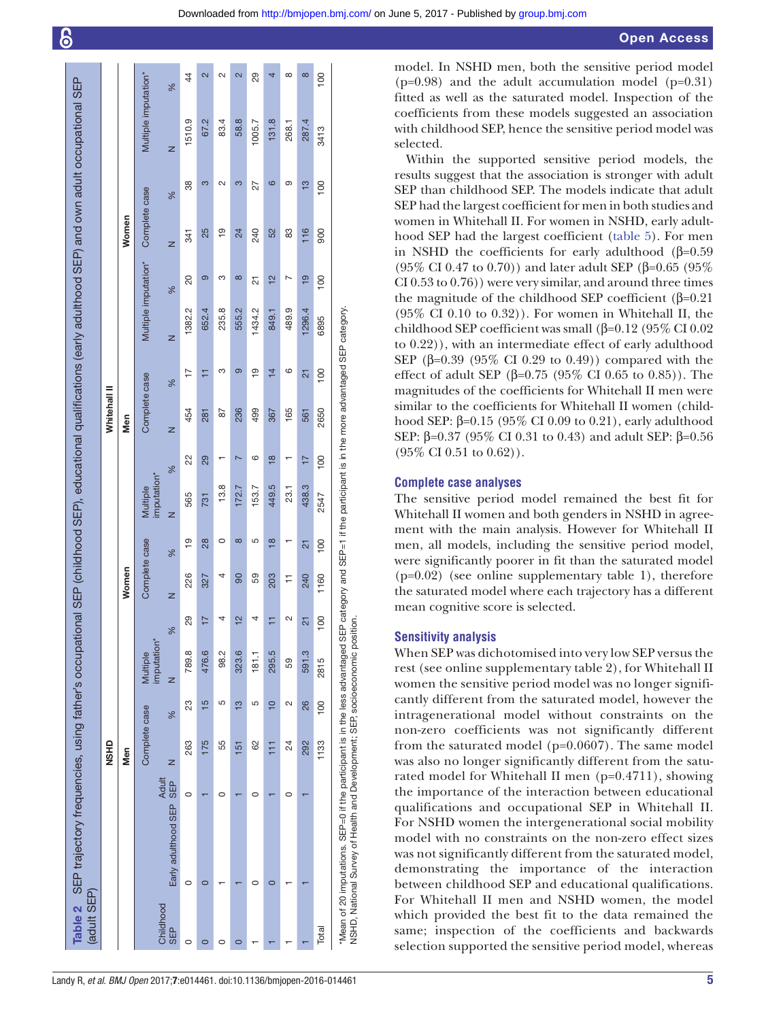| (adult SEP)<br>Table 2  | SEP trajectory frequencies, using father's occupational SEP (childhood SEP), educational qualifications (early adulthood SEP) and own adult occupational SEP   |                   |                                |                                          |               |                    |                |                                                                                  |                 |                    |                |                           |                 |                    |               |                           |                         |
|-------------------------|----------------------------------------------------------------------------------------------------------------------------------------------------------------|-------------------|--------------------------------|------------------------------------------|---------------|--------------------|----------------|----------------------------------------------------------------------------------|-----------------|--------------------|----------------|---------------------------|-----------------|--------------------|---------------|---------------------------|-------------------------|
|                         |                                                                                                                                                                | <b>NSHD</b>       |                                |                                          |               |                    |                |                                                                                  |                 | Whitehall II       |                |                           |                 |                    |               |                           |                         |
|                         |                                                                                                                                                                | Men               |                                |                                          |               | Women              |                |                                                                                  |                 | Men                |                |                           |                 | Women              |               |                           |                         |
| Childhood<br><b>SEP</b> | Early adulthood SEP SEP                                                                                                                                        | z<br><b>Adult</b> | Complete case<br>$\frac{8}{3}$ | imputation <sup>*</sup><br>Multiple<br>z | %             | Complete case<br>z | %              | imputation*<br>Multiple<br>z                                                     | %               | Complete case<br>z | %              | Multiple imputation*<br>z | $\frac{8}{3}$   | Complete case<br>z | $\%$          | Multiple imputation*<br>z | $\%$                    |
| 0                       | $\circ$<br>$\circ$                                                                                                                                             |                   | 23<br>263                      | 789.8                                    | 88            | 226                | <u>စု</u>      | 565                                                                              | 22              | 454                | $\overline{1}$ | 1382.2                    | 20              | 341                | 38            | 1510.9                    | 44                      |
|                         |                                                                                                                                                                |                   | $\frac{5}{1}$<br>175           | 476.6                                    | 17            | 327                | 28             | 731                                                                              | 29              | 281                | H              | 652.4                     | ၜ               | 25                 | က             | 67.2                      | 2                       |
|                         | O                                                                                                                                                              |                   | 5<br>55                        | 98.2                                     |               | 4                  | 0              | 13.8                                                                             |                 | 57                 | ω              | 235.8                     | ო               | $\frac{0}{1}$      | 2             | 83.4                      | $\mathbf{\Omega}$       |
|                         |                                                                                                                                                                |                   | 13<br>151                      | 323.6                                    | $\frac{1}{2}$ | 90                 | $\infty$       | 172.7                                                                            | r               | 236                | ၜ              | 555.2                     | $\infty$        | 24                 | က             | 58.8                      | $\overline{\mathbf{c}}$ |
|                         | o<br>c                                                                                                                                                         |                   | 5<br>8                         | 181.1                                    |               | 59                 | 5              | 153.7                                                                            | ဖ               | 499                | <u>စု</u>      | 1434.2                    | 21              | 240                | 27            | 1005.7                    | 88                      |
|                         |                                                                                                                                                                |                   | $\overline{C}$<br>F            | 295.5                                    | ∓             | 203                | $\frac{8}{10}$ | 449.5                                                                            | $\frac{8}{18}$  | 367                | $\frac{1}{4}$  | 849.1                     | 12              | 52                 | ဖ             | 131.8                     | 4                       |
|                         | 0                                                                                                                                                              |                   | 2<br>24                        | 59                                       | N             | ≓                  |                | 23.1                                                                             |                 | 165                | ဖ              | 489.9                     | ľ               | 83                 | တ             | 268.1                     | $^{\circ}$              |
|                         |                                                                                                                                                                |                   | 26<br>292                      | 591.3                                    | 21            | 240                | $\overline{2}$ | 438.3                                                                            | $\overline{17}$ | 561                | 21             | 1296.4                    | <u>ဝှ</u>       | 116                | $\frac{3}{2}$ | 287.4                     | $\infty$                |
| Total                   |                                                                                                                                                                | 1133              | $\overline{100}$               | 2815                                     | 100           | 1160               | 100            | 2547                                                                             | $\overline{00}$ | 2650               | $\overline{0}$ | 6895                      | $\frac{8}{100}$ | 900                | 100           | 3413                      | $\overline{100}$        |
|                         | NSHD, National Survey of Health and Development; SEP, socioeconomic position.<br>*Mean of 20 imputations. SEP=0 if the participant is in the less advantaged S |                   |                                |                                          |               |                    |                | EP category and SEP=1 if the participant is in the more advantaged SEP category. |                 |                    |                |                           |                 |                    |               |                           |                         |

model. In NSHD men, both the sensitive period model  $(p=0.98)$  and the adult accumulation model  $(p=0.31)$ fitted as well as the saturated model. Inspection of the coefficients from these models suggested an association with childhood SEP, hence the sensitive period model was selected.

Within the supported sensitive period models, the results suggest that the association is stronger with adult SEP than childhood SEP. The models indicate that adult SEP had the largest coefficient for men in both studies and women in Whitehall II. For women in NSHD, early adulthood SEP had the largest coefficient ([table](#page-6-0) 5). For men in NSHD the coefficients for early adulthood (β=0.59 (95% CI 0.47 to 0.70)) and later adult SEP (β=0.65 (95%) CI 0.53 to 0.76)) were very similar, and around three times the magnitude of the childhood SEP coefficient (β=0.21 (95% CI 0.10 to 0.32)). For women in Whitehall II, the childhood SEP coefficient was small (β=0.12 (95% CI 0.02) to 0.22)), with an intermediate effect of early adulthood SEP (β=0.39 (95% CI 0.29 to 0.49)) compared with the effect of adult SEP (β=0.75 (95% CI 0.65 to 0.85)). The magnitudes of the coefficients for Whitehall II men were similar to the coefficients for Whitehall II women (childhood SEP: β=0.15 (95% CI 0.09 to 0.21), early adulthood SEP: β=0.37 (95% CI 0.31 to 0.43) and adult SEP: β=0.56  $(95\% \text{ CI } 0.51 \text{ to } 0.62)$ ).

## **Complete case analyses**

The sensitive period model remained the best fit for Whitehall II women and both genders in NSHD in agreement with the main analysis. However for Whitehall II men, all models, including the sensitive period model, were significantly poorer in fit than the saturated model  $(p=0.02)$  (see online supplementary table 1), therefore the saturated model where each trajectory has a different mean cognitive score is selected.

## **Sensitivity analysis**

<span id="page-4-0"></span>When SEP was dichotomised into very low SEP versus the rest (see online supplementary table 2), for Whitehall II women the sensitive period model was no longer significantly different from the saturated model, however the intragenerational model without constraints on the non-zero coefficients was not significantly different from the saturated model (p=0.0607). The same model was also no longer significantly different from the saturated model for Whitehall II men (p=0.4711), showing the importance of the interaction between educational qualifications and occupational SEP in Whitehall II. For NSHD women the intergenerational social mobility model with no constraints on the non-zero effect sizes was not significantly different from the saturated model, demonstrating the importance of the interaction between childhood SEP and educational qualifications. For Whitehall II men and NSHD women, the model which provided the best fit to the data remained the same; inspection of the coefficients and backwards selection supported the sensitive period model, whereas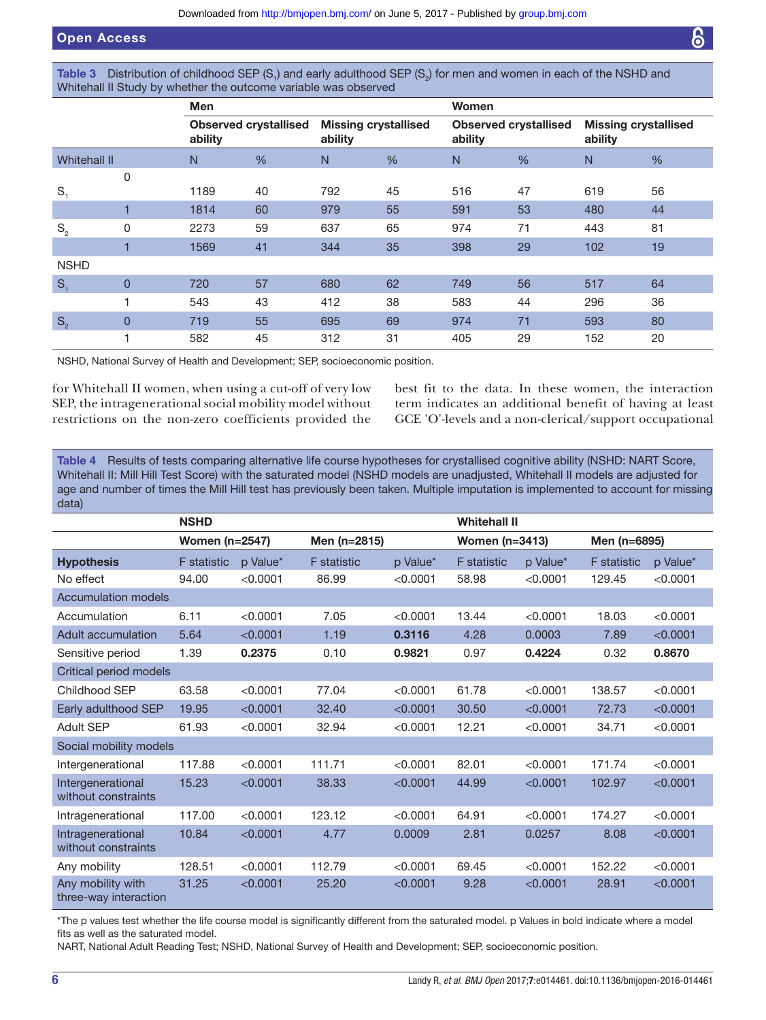<span id="page-5-0"></span>Table 3 Distribution of childhood SEP (S<sub>1</sub>) and early adulthood SEP (S<sub>2</sub>) for men and women in each of the NSHD and Whitehall II Study by whether the outcome variable was observed

|                     |                | <b>Men</b> |                              |                                        |    | Women   |                              |                                        |    |  |
|---------------------|----------------|------------|------------------------------|----------------------------------------|----|---------|------------------------------|----------------------------------------|----|--|
|                     |                | ability    | <b>Observed crystallised</b> | <b>Missing crystallised</b><br>ability |    | ability | <b>Observed crystallised</b> | <b>Missing crystallised</b><br>ability |    |  |
| <b>Whitehall II</b> |                | N          | $\%$                         | N                                      | %  | N       | %                            | N                                      | %  |  |
|                     | 0              |            |                              |                                        |    |         |                              |                                        |    |  |
| $S_{1}$             |                | 1189       | 40                           | 792                                    | 45 | 516     | 47                           | 619                                    | 56 |  |
|                     |                | 1814       | 60                           | 979                                    | 55 | 591     | 53                           | 480                                    | 44 |  |
| $S_{2}$             | 0              | 2273       | 59                           | 637                                    | 65 | 974     | 71                           | 443                                    | 81 |  |
|                     | 1              | 1569       | 41                           | 344                                    | 35 | 398     | 29                           | 102                                    | 19 |  |
| <b>NSHD</b>         |                |            |                              |                                        |    |         |                              |                                        |    |  |
| $S_{1}$             | $\overline{0}$ | 720        | 57                           | 680                                    | 62 | 749     | 56                           | 517                                    | 64 |  |
|                     |                | 543        | 43                           | 412                                    | 38 | 583     | 44                           | 296                                    | 36 |  |
| $S_{2}$             | $\overline{0}$ | 719        | 55                           | 695                                    | 69 | 974     | 71                           | 593                                    | 80 |  |
|                     |                | 582        | 45                           | 312                                    | 31 | 405     | 29                           | 152                                    | 20 |  |

NSHD, National Survey of Health and Development; SEP, socioeconomic position.

for Whitehall II women, when using a cut-off of very low SEP, the intragenerational social mobility model without restrictions on the non-zero coefficients provided the best fit to the data. In these women, the interaction term indicates an additional benefit of having at least GCE 'O'-levels and a non-clerical/support occupational

<span id="page-5-1"></span>Table 4 Results of tests comparing alternative life course hypotheses for crystallised cognitive ability (NSHD: NART Score, Whitehall II: Mill Hill Test Score) with the saturated model (NSHD models are unadjusted, Whitehall II models are adjusted for age and number of times the Mill Hill test has previously been taken. Multiple imputation is implemented to account for missing data)

|                                            | <b>NSHD</b>           |          |                    |          | <b>Whitehall II</b>   |          |                    |          |
|--------------------------------------------|-----------------------|----------|--------------------|----------|-----------------------|----------|--------------------|----------|
|                                            | <b>Women (n=2547)</b> |          | Men (n=2815)       |          | <b>Women (n=3413)</b> |          | Men (n=6895)       |          |
| <b>Hypothesis</b>                          | F statistic           | p Value* | <b>F</b> statistic | p Value* | <b>F</b> statistic    | p Value* | <b>F</b> statistic | p Value* |
| No effect                                  | 94.00                 | < 0.0001 | 86.99              | < 0.0001 | 58.98                 | < 0.0001 | 129.45             | < 0.0001 |
| <b>Accumulation models</b>                 |                       |          |                    |          |                       |          |                    |          |
| Accumulation                               | 6.11                  | < 0.0001 | 7.05               | < 0.0001 | 13.44                 | < 0.0001 | 18.03              | < 0.0001 |
| <b>Adult accumulation</b>                  | 5.64                  | < 0.0001 | 1.19               | 0.3116   | 4.28                  | 0.0003   | 7.89               | < 0.0001 |
| Sensitive period                           | 1.39                  | 0.2375   | 0.10               | 0.9821   | 0.97                  | 0.4224   | 0.32               | 0.8670   |
| Critical period models                     |                       |          |                    |          |                       |          |                    |          |
| Childhood SEP                              | 63.58                 | < 0.0001 | 77.04              | < 0.0001 | 61.78                 | < 0.0001 | 138.57             | < 0.0001 |
| Early adulthood SEP                        | 19.95                 | < 0.0001 | 32.40              | < 0.0001 | 30.50                 | < 0.0001 | 72.73              | < 0.0001 |
| <b>Adult SEP</b>                           | 61.93                 | < 0.0001 | 32.94              | < 0.0001 | 12.21                 | < 0.0001 | 34.71              | < 0.0001 |
| Social mobility models                     |                       |          |                    |          |                       |          |                    |          |
| Intergenerational                          | 117.88                | < 0.0001 | 111.71             | < 0.0001 | 82.01                 | < 0.0001 | 171.74             | < 0.0001 |
| Intergenerational<br>without constraints   | 15.23                 | < 0.0001 | 38.33              | < 0.0001 | 44.99                 | < 0.0001 | 102.97             | < 0.0001 |
| Intragenerational                          | 117.00                | < 0.0001 | 123.12             | < 0.0001 | 64.91                 | < 0.0001 | 174.27             | < 0.0001 |
| Intragenerational<br>without constraints   | 10.84                 | < 0.0001 | 4.77               | 0.0009   | 2.81                  | 0.0257   | 8.08               | < 0.0001 |
| Any mobility                               | 128.51                | < 0.0001 | 112.79             | < 0.0001 | 69.45                 | < 0.0001 | 152.22             | < 0.0001 |
| Any mobility with<br>three-way interaction | 31.25                 | < 0.0001 | 25.20              | < 0.0001 | 9.28                  | < 0.0001 | 28.91              | < 0.0001 |

\*The p values test whether the life course model is significantly different from the saturated model. p Values in bold indicate where a model fits as well as the saturated model.

NART, National Adult Reading Test; NSHD, National Survey of Health and Development; SEP, socioeconomic position.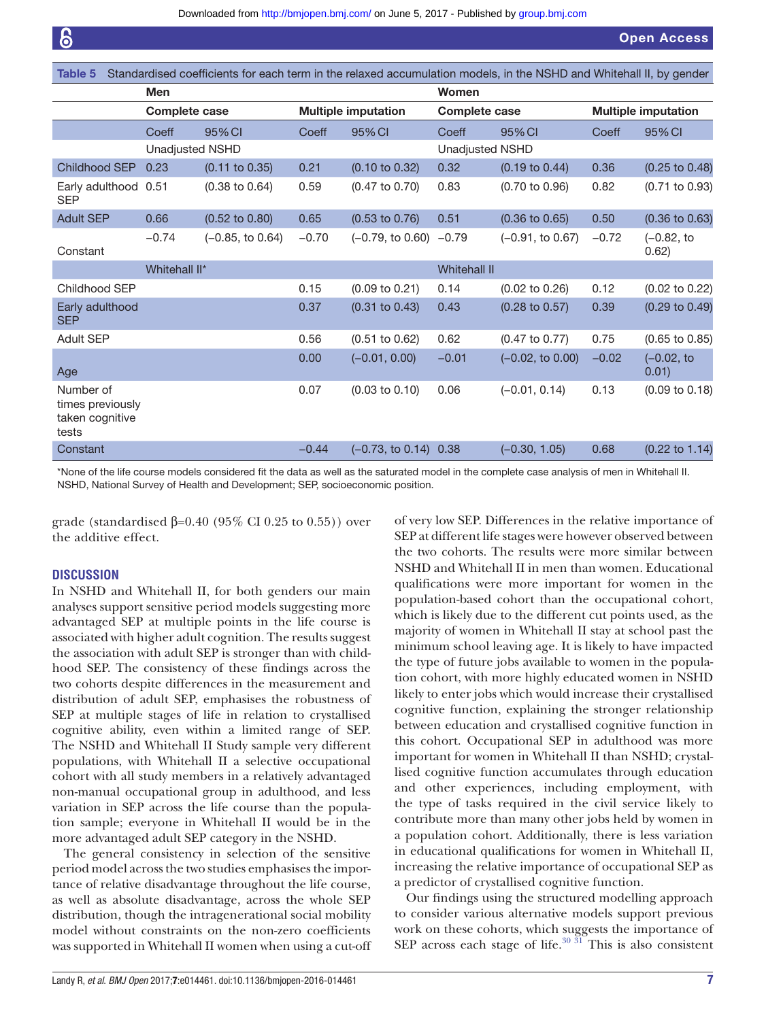<span id="page-6-0"></span>

| Table 5                                                   |                        | Standardised coefficients for each term in the relaxed accumulation models, in the NSHD and Whitehall II, by gender |         |                            |                        |                           |         |                            |
|-----------------------------------------------------------|------------------------|---------------------------------------------------------------------------------------------------------------------|---------|----------------------------|------------------------|---------------------------|---------|----------------------------|
|                                                           | <b>Men</b>             |                                                                                                                     |         |                            | Women                  |                           |         |                            |
|                                                           | <b>Complete case</b>   |                                                                                                                     |         | <b>Multiple imputation</b> | <b>Complete case</b>   |                           |         | <b>Multiple imputation</b> |
|                                                           | Coeff                  | 95% CI                                                                                                              | Coeff   | 95% CI                     | Coeff                  | 95% CI                    | Coeff   | 95% CI                     |
|                                                           | <b>Unadjusted NSHD</b> |                                                                                                                     |         |                            | <b>Unadjusted NSHD</b> |                           |         |                            |
| <b>Childhood SEP</b>                                      | 0.23                   | $(0.11$ to $0.35)$                                                                                                  | 0.21    | $(0.10 \text{ to } 0.32)$  | 0.32                   | $(0.19 \text{ to } 0.44)$ | 0.36    | $(0.25 \text{ to } 0.48)$  |
| Early adulthood 0.51<br><b>SEP</b>                        |                        | $(0.38 \text{ to } 0.64)$                                                                                           | 0.59    | $(0.47 \text{ to } 0.70)$  | 0.83                   | $(0.70 \text{ to } 0.96)$ | 0.82    | $(0.71 \text{ to } 0.93)$  |
| <b>Adult SEP</b>                                          | 0.66                   | $(0.52 \text{ to } 0.80)$                                                                                           | 0.65    | $(0.53 \text{ to } 0.76)$  | 0.51                   | $(0.36 \text{ to } 0.65)$ | 0.50    | $(0.36 \text{ to } 0.63)$  |
| Constant                                                  | $-0.74$                | $(-0.85, to 0.64)$                                                                                                  | $-0.70$ | $(-0.79, to 0.60)$         | $-0.79$                | $(-0.91, to 0.67)$        | $-0.72$ | $(-0.82, to$<br>0.62)      |
|                                                           | Whitehall II*          |                                                                                                                     |         |                            | <b>Whitehall II</b>    |                           |         |                            |
| Childhood SEP                                             |                        |                                                                                                                     | 0.15    | $(0.09 \text{ to } 0.21)$  | 0.14                   | $(0.02 \text{ to } 0.26)$ | 0.12    | $(0.02 \text{ to } 0.22)$  |
| Early adulthood<br><b>SEP</b>                             |                        |                                                                                                                     | 0.37    | $(0.31 \text{ to } 0.43)$  | 0.43                   | $(0.28 \text{ to } 0.57)$ | 0.39    | $(0.29 \text{ to } 0.49)$  |
| <b>Adult SEP</b>                                          |                        |                                                                                                                     | 0.56    | $(0.51$ to $0.62)$         | 0.62                   | $(0.47 \text{ to } 0.77)$ | 0.75    | $(0.65 \text{ to } 0.85)$  |
| Age                                                       |                        |                                                                                                                     | 0.00    | $(-0.01, 0.00)$            | $-0.01$                | $(-0.02, to 0.00)$        | $-0.02$ | $(-0.02, to$<br>0.01)      |
| Number of<br>times previously<br>taken cognitive<br>tests |                        |                                                                                                                     | 0.07    | $(0.03 \text{ to } 0.10)$  | 0.06                   | $(-0.01, 0.14)$           | 0.13    | $(0.09 \text{ to } 0.18)$  |
| Constant                                                  |                        |                                                                                                                     | $-0.44$ | $(-0.73, to 0.14)$ 0.38    |                        | $(-0.30, 1.05)$           | 0.68    | $(0.22 \text{ to } 1.14)$  |

\*None of the life course models considered fit the data as well as the saturated model in the complete case analysis of men in Whitehall II. NSHD, National Survey of Health and Development; SEP, socioeconomic position.

grade (standardised β=0.40 (95% CI 0.25 to 0.55)) over the additive effect.

#### **Discussion**

In NSHD and Whitehall II, for both genders our main analyses support sensitive period models suggesting more advantaged SEP at multiple points in the life course is associated with higher adult cognition. The results suggest the association with adult SEP is stronger than with childhood SEP. The consistency of these findings across the two cohorts despite differences in the measurement and distribution of adult SEP, emphasises the robustness of SEP at multiple stages of life in relation to crystallised cognitive ability, even within a limited range of SEP. The NSHD and Whitehall II Study sample very different populations, with Whitehall II a selective occupational cohort with all study members in a relatively advantaged non-manual occupational group in adulthood, and less variation in SEP across the life course than the population sample; everyone in Whitehall II would be in the more advantaged adult SEP category in the NSHD.

The general consistency in selection of the sensitive period model across the two studies emphasises the importance of relative disadvantage throughout the life course, as well as absolute disadvantage, across the whole SEP distribution, though the intragenerational social mobility model without constraints on the non-zero coefficients was supported in Whitehall II women when using a cut-off of very low SEP. Differences in the relative importance of SEP at different life stages were however observed between the two cohorts. The results were more similar between NSHD and Whitehall II in men than women. Educational qualifications were more important for women in the population-based cohort than the occupational cohort, which is likely due to the different cut points used, as the majority of women in Whitehall II stay at school past the minimum school leaving age. It is likely to have impacted the type of future jobs available to women in the population cohort, with more highly educated women in NSHD likely to enter jobs which would increase their crystallised cognitive function, explaining the stronger relationship between education and crystallised cognitive function in this cohort. Occupational SEP in adulthood was more important for women in Whitehall II than NSHD; crystallised cognitive function accumulates through education and other experiences, including employment, with the type of tasks required in the civil service likely to contribute more than many other jobs held by women in a population cohort. Additionally, there is less variation in educational qualifications for women in Whitehall II, increasing the relative importance of occupational SEP as a predictor of crystallised cognitive function.

Our findings using the structured modelling approach to consider various alternative models support previous work on these cohorts, which suggests the importance of SEP across each stage of life.<sup>[30 31](#page-8-18)</sup> This is also consistent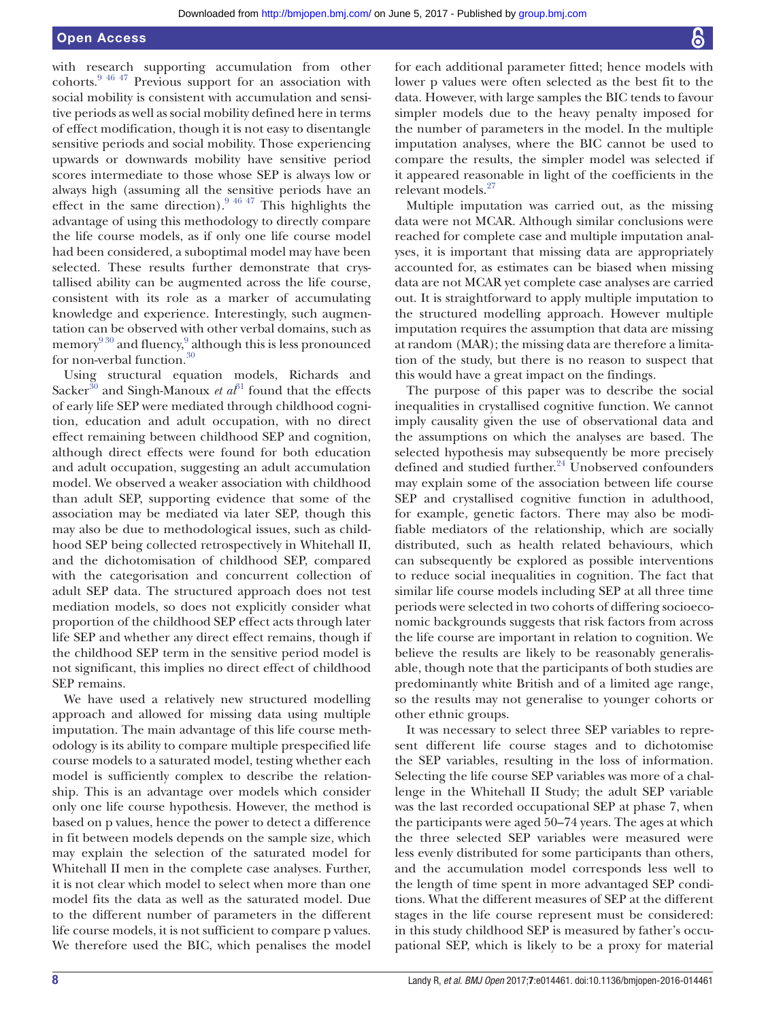with research supporting accumulation from other cohorts.[9 46 47](#page-8-8) Previous support for an association with social mobility is consistent with accumulation and sensitive periods as well as social mobility defined here in terms of effect modification, though it is not easy to disentangle sensitive periods and social mobility. Those experiencing upwards or downwards mobility have sensitive period scores intermediate to those whose SEP is always low or always high (assuming all the sensitive periods have an effect in the same direction).<sup>[9 46 47](#page-8-8)</sup> This highlights the advantage of using this methodology to directly compare the life course models, as if only one life course model had been considered, a suboptimal model may have been selected. These results further demonstrate that crystallised ability can be augmented across the life course, consistent with its role as a marker of accumulating knowledge and experience. Interestingly, such augmentation can be observed with other verbal domains, such as memory $^{9\,30}$  and fluency, $^9$  although this is less pronounced for non-verbal function.<sup>[30](#page-8-18)</sup>

Using structural equation models, Richards and Sacker<sup>30</sup> and Singh-Manoux *et*  $a^{\hat{\beta}1}$  found that the effects of early life SEP were mediated through childhood cognition, education and adult occupation, with no direct effect remaining between childhood SEP and cognition, although direct effects were found for both education and adult occupation, suggesting an adult accumulation model. We observed a weaker association with childhood than adult SEP, supporting evidence that some of the association may be mediated via later SEP, though this may also be due to methodological issues, such as childhood SEP being collected retrospectively in Whitehall II, and the dichotomisation of childhood SEP, compared with the categorisation and concurrent collection of adult SEP data. The structured approach does not test mediation models, so does not explicitly consider what proportion of the childhood SEP effect acts through later life SEP and whether any direct effect remains, though if the childhood SEP term in the sensitive period model is not significant, this implies no direct effect of childhood SEP remains.

We have used a relatively new structured modelling approach and allowed for missing data using multiple imputation. The main advantage of this life course methodology is its ability to compare multiple prespecified life course models to a saturated model, testing whether each model is sufficiently complex to describe the relationship. This is an advantage over models which consider only one life course hypothesis. However, the method is based on p values, hence the power to detect a difference in fit between models depends on the sample size, which may explain the selection of the saturated model for Whitehall II men in the complete case analyses. Further, it is not clear which model to select when more than one model fits the data as well as the saturated model. Due to the different number of parameters in the different life course models, it is not sufficient to compare p values. We therefore used the BIC, which penalises the model for each additional parameter fitted; hence models with lower p values were often selected as the best fit to the data. However, with large samples the BIC tends to favour simpler models due to the heavy penalty imposed for the number of parameters in the model. In the multiple imputation analyses, where the BIC cannot be used to compare the results, the simpler model was selected if it appeared reasonable in light of the coefficients in the relevant models.<sup>[27](#page-8-19)</sup>

Multiple imputation was carried out, as the missing data were not MCAR. Although similar conclusions were reached for complete case and multiple imputation analyses, it is important that missing data are appropriately accounted for, as estimates can be biased when missing data are not MCAR yet complete case analyses are carried out. It is straightforward to apply multiple imputation to the structured modelling approach. However multiple imputation requires the assumption that data are missing at random (MAR); the missing data are therefore a limitation of the study, but there is no reason to suspect that this would have a great impact on the findings.

The purpose of this paper was to describe the social inequalities in crystallised cognitive function. We cannot imply causality given the use of observational data and the assumptions on which the analyses are based. The selected hypothesis may subsequently be more precisely defined and studied further.<sup>24</sup> Unobserved confounders may explain some of the association between life course SEP and crystallised cognitive function in adulthood, for example, genetic factors. There may also be modifiable mediators of the relationship, which are socially distributed, such as health related behaviours, which can subsequently be explored as possible interventions to reduce social inequalities in cognition. The fact that similar life course models including SEP at all three time periods were selected in two cohorts of differing socioeconomic backgrounds suggests that risk factors from across the life course are important in relation to cognition. We believe the results are likely to be reasonably generalisable, though note that the participants of both studies are predominantly white British and of a limited age range, so the results may not generalise to younger cohorts or other ethnic groups.

It was necessary to select three SEP variables to represent different life course stages and to dichotomise the SEP variables, resulting in the loss of information. Selecting the life course SEP variables was more of a challenge in the Whitehall II Study; the adult SEP variable was the last recorded occupational SEP at phase 7, when the participants were aged 50–74 years. The ages at which the three selected SEP variables were measured were less evenly distributed for some participants than others, and the accumulation model corresponds less well to the length of time spent in more advantaged SEP conditions. What the different measures of SEP at the different stages in the life course represent must be considered: in this study childhood SEP is measured by father's occupational SEP, which is likely to be a proxy for material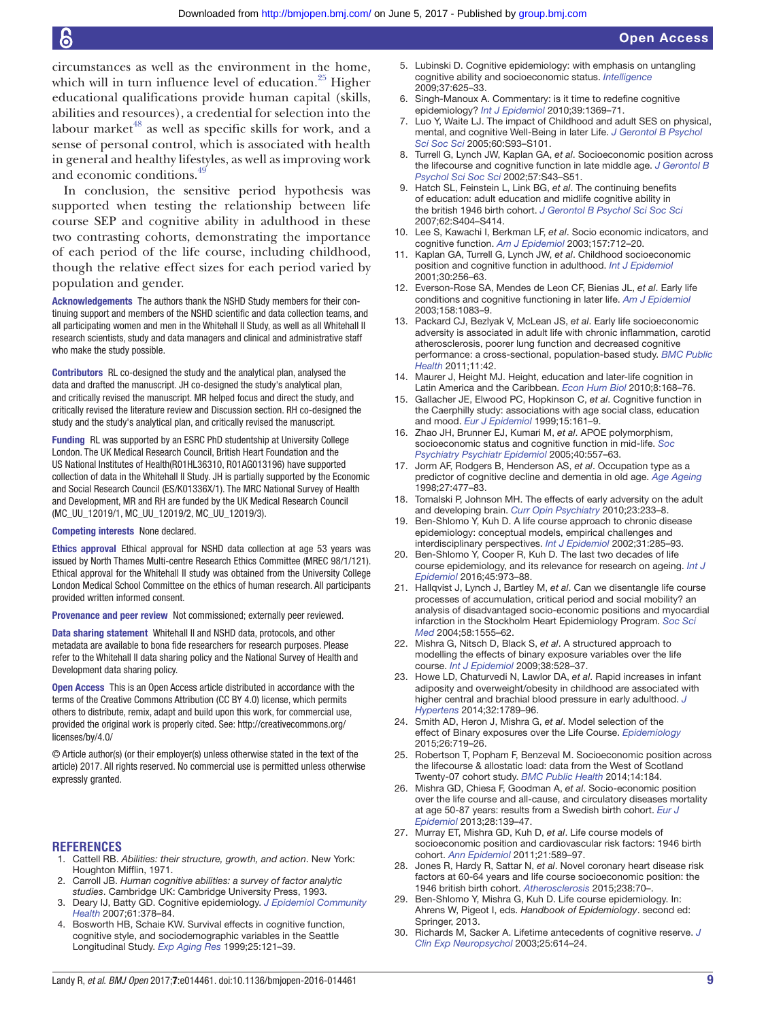circumstances as well as the environment in the home, which will in turn influence level of education.<sup>[25](#page-8-16)</sup> Higher educational qualifications provide human capital (skills, abilities and resources), a credential for selection into the labour market<sup>[48](#page-9-13)</sup> as well as specific skills for work, and a sense of personal control, which is associated with health in general and healthy lifestyles, as well as improving work and economic conditions.[49](#page-9-14)

In conclusion, the sensitive period hypothesis was supported when testing the relationship between life course SEP and cognitive ability in adulthood in these two contrasting cohorts, demonstrating the importance of each period of the life course, including childhood, though the relative effect sizes for each period varied by population and gender.

Acknowledgements The authors thank the NSHD Study members for their continuing support and members of the NSHD scientific and data collection teams, and all participating women and men in the Whitehall II Study, as well as all Whitehall II research scientists, study and data managers and clinical and administrative staff who make the study possible.

Contributors RL co-designed the study and the analytical plan, analysed the data and drafted the manuscript. JH co-designed the study's analytical plan, and critically revised the manuscript. MR helped focus and direct the study, and critically revised the literature review and Discussion section. RH co-designed the study and the study's analytical plan, and critically revised the manuscript.

Funding RL was supported by an ESRC PhD studentship at University College London. The UK Medical Research Council, British Heart Foundation and the US National Institutes of Health(R01HL36310, R01AG013196) have supported collection of data in the Whitehall II Study. JH is partially supported by the Economic and Social Research Council (ES/K01336X/1). The MRC National Survey of Health and Development, MR and RH are funded by the UK Medical Research Council (MC\_UU\_12019/1, MC\_UU\_12019/2, MC\_UU\_12019/3).

#### Competing interests None declared.

Ethics approval Ethical approval for NSHD data collection at age 53 years was issued by North Thames Multi-centre Research Ethics Committee (MREC 98/1/121). Ethical approval for the Whitehall II study was obtained from the University College London Medical School Committee on the ethics of human research. All participants provided written informed consent.

Provenance and peer review Not commissioned; externally peer reviewed.

Data sharing statement Whitehall II and NSHD data, protocols, and other metadata are available to bona fide researchers for research purposes. Please refer to the Whitehall II data sharing policy and the National Survey of Health and Development data sharing policy.

Open Access This is an Open Access article distributed in accordance with the terms of the Creative Commons Attribution (CC BY 4.0) license, which permits others to distribute, remix, adapt and build upon this work, for commercial use, provided the original work is properly cited. See: [http://creativecommons.org/](http://creativecommons.org/licenses/by/4.0/) [licenses/by/4.0/](http://creativecommons.org/licenses/by/4.0/)

© Article author(s) (or their employer(s) unless otherwise stated in the text of the article) 2017. All rights reserved. No commercial use is permitted unless otherwise expressly granted.

#### **References**

- <span id="page-8-0"></span>1. Cattell RB. *Abilities: their structure, growth, and action*. New York: Houghton Mifflin, 1971.
- <span id="page-8-1"></span>2. Carroll JB. *Human cognitive abilities: a survey of factor analytic*
- <span id="page-8-2"></span>*studies*. Cambridge UK: Cambridge University Press, 1993. 3. Deary IJ, Batty GD. Cognitive epidemiology. *[J Epidemiol Community](http://dx.doi.org/10.1136/jech.2005.039206)  [Health](http://dx.doi.org/10.1136/jech.2005.039206)* 2007;61:378–84.
- <span id="page-8-3"></span>4. Bosworth HB, Schaie KW. Survival effects in cognitive function, cognitive style, and sociodemographic variables in the Seattle Longitudinal Study. *[Exp Aging Res](http://dx.doi.org/10.1080/036107399244057)* 1999;25:121–39.
- <span id="page-8-4"></span>5. Lubinski D. Cognitive epidemiology: with emphasis on untangling cognitive ability and socioeconomic status. *[Intelligence](http://dx.doi.org/10.1016/j.intell.2009.09.001)* 2009;37:625–33.
- <span id="page-8-5"></span>Singh-Manoux A. Commentary: is it time to redefine cognitive epidemiology? *[Int J Epidemiol](http://dx.doi.org/10.1093/ije/dyq123)* 2010;39:1369–71.
- <span id="page-8-6"></span>Luo Y, Waite LJ. The impact of Childhood and adult SES on physical, mental, and cognitive Well-Being in later Life. *[J Gerontol B Psychol](http://dx.doi.org/10.1093/geronb/60.2.S93)  [Sci Soc Sci](http://dx.doi.org/10.1093/geronb/60.2.S93)* 2005;60:S93–S101.
- 8. Turrell G, Lynch JW, Kaplan GA, *et al*. Socioeconomic position across the lifecourse and cognitive function in late middle age. *[J Gerontol B](http://dx.doi.org/10.1093/geronb/57.1.S43)  [Psychol Sci Soc Sci](http://dx.doi.org/10.1093/geronb/57.1.S43)* 2002;57:S43–S51.
- <span id="page-8-8"></span>9. Hatch SL, Feinstein L, Link BG, *et al*. The continuing benefits of education: adult education and midlife cognitive ability in the british 1946 birth cohort. *[J Gerontol B Psychol Sci Soc Sci](http://dx.doi.org/10.1093/geronb/62.6.S404)* 2007;62:S404–S414.
- <span id="page-8-7"></span>10. Lee S, Kawachi I, Berkman LF, *et al*. Socio economic indicators, and cognitive function. *Am J Epidemiol* 2003;157:712–20.
- 11. Kaplan GA, Turrell G, Lynch JW, *et al*. Childhood socioeconomic position and cognitive function in adulthood. *[Int J Epidemiol](http://dx.doi.org/10.1093/ije/30.2.256)* 2001;30:256–63.
- 12. Everson-Rose SA, Mendes de Leon CF, Bienias JL, *et al*. Early life conditions and cognitive functioning in later life. *[Am J Epidemiol](http://dx.doi.org/10.1093/aje/kwg263)* 2003;158:1083–9.
- 13. Packard CJ, Bezlyak V, McLean JS, *et al*. Early life socioeconomic adversity is associated in adult life with chronic inflammation, carotid atherosclerosis, poorer lung function and decreased cognitive performance: a cross-sectional, population-based study. *[BMC Public](http://dx.doi.org/10.1186/1471-2458-11-42)  [Health](http://dx.doi.org/10.1186/1471-2458-11-42)* 2011;11:42.
- 14. Maurer J, Height MJ. Height, education and later-life cognition in Latin America and the Caribbean. *[Econ Hum Biol](http://dx.doi.org/10.1016/j.ehb.2010.05.013)* 2010;8:168–76.
- 15. Gallacher JE, Elwood PC, Hopkinson C, *et al*. Cognitive function in the Caerphilly study: associations with age social class, education and mood. *[Eur J Epidemiol](http://dx.doi.org/10.1023/A:1007576324313)* 1999;15:161–9.
- 16. Zhao JH, Brunner EJ, Kumari M, *et al*. APOE polymorphism, socioeconomic status and cognitive function in mid-life. *[Soc](http://dx.doi.org/10.1007/s00127-005-0925-y)  [Psychiatry Psychiatr Epidemiol](http://dx.doi.org/10.1007/s00127-005-0925-y)* 2005;40:557–63.
- 17. Jorm AF, Rodgers B, Henderson AS, *et al*. Occupation type as a predictor of cognitive decline and dementia in old age. *[Age Ageing](http://dx.doi.org/10.1093/ageing/27.4.477)* 1998;27:477–83.
- <span id="page-8-9"></span>18. Tomalski P, Johnson MH. The effects of early adversity on the adult and developing brain. *[Curr Opin Psychiatry](http://dx.doi.org/10.1097/YCO.0b013e3283387a8c)* 2010;23:233–8.
- <span id="page-8-10"></span>19. Ben-Shlomo Y, Kuh D. A life course approach to chronic disease epidemiology: conceptual models, empirical challenges and interdisciplinary perspectives. *[Int J Epidemiol](http://dx.doi.org/10.1093/intjepid/31.2.285)* 2002;31:285–93.
- <span id="page-8-11"></span>20. Ben-Shlomo Y, Cooper R, Kuh D. The last two decades of life course epidemiology, and its relevance for research on ageing. *[Int J](http://dx.doi.org/10.1093/ije/dyw096)  [Epidemiol](http://dx.doi.org/10.1093/ije/dyw096)* 2016;45:973–88.
- <span id="page-8-12"></span>21. Hallqvist J, Lynch J, Bartley M, *et al*. Can we disentangle life course processes of accumulation, critical period and social mobility? an analysis of disadvantaged socio-economic positions and myocardial infarction in the Stockholm Heart Epidemiology Program. *[Soc Sci](http://dx.doi.org/10.1016/S0277-9536(03)00344-7)  [Med](http://dx.doi.org/10.1016/S0277-9536(03)00344-7)* 2004;58:1555–62.
- <span id="page-8-13"></span>22. Mishra G, Nitsch D, Black S, *et al*. A structured approach to modelling the effects of binary exposure variables over the life course. *[Int J Epidemiol](http://dx.doi.org/10.1093/ije/dyn229)* 2009;38:528–37.
- <span id="page-8-14"></span>23. Howe LD, Chaturvedi N, Lawlor DA, *et al*. Rapid increases in infant adiposity and overweight/obesity in childhood are associated with higher central and brachial blood pressure in early adulthood. *[J](http://dx.doi.org/10.1097/HJH.0000000000000269)  [Hypertens](http://dx.doi.org/10.1097/HJH.0000000000000269)* 2014;32:1789–96.
- <span id="page-8-20"></span>24. Smith AD, Heron J, Mishra G, *et al*. Model selection of the effect of Binary exposures over the Life Course. *[Epidemiology](http://dx.doi.org/10.1097/EDE.0000000000000348)* 2015;26:719–26.
- <span id="page-8-16"></span>25. Robertson T, Popham F, Benzeval M. Socioeconomic position across the lifecourse & allostatic load: data from the West of Scotland Twenty-07 cohort study. *[BMC Public Health](http://dx.doi.org/10.1186/1471-2458-14-184)* 2014;14:184.
- <span id="page-8-17"></span>26. Mishra GD, Chiesa F, Goodman A, *et al*. Socio-economic position over the life course and all-cause, and circulatory diseases mortality at age 50-87 years: results from a Swedish birth cohort. *[Eur J](http://dx.doi.org/10.1007/s10654-013-9777-z)  [Epidemiol](http://dx.doi.org/10.1007/s10654-013-9777-z)* 2013;28:139–47.
- <span id="page-8-19"></span>27. Murray ET, Mishra GD, Kuh D, *et al*. Life course models of socioeconomic position and cardiovascular risk factors: 1946 birth cohort. *[Ann Epidemiol](http://dx.doi.org/10.1016/j.annepidem.2011.04.005)* 2011;21:589–97.
- 28. Jones R, Hardy R, Sattar N, *et al*. Novel coronary heart disease risk factors at 60-64 years and life course socioeconomic position: the 1946 british birth cohort. *[Atherosclerosis](http://dx.doi.org/10.1016/j.atherosclerosis.2014.11.011)* 2015;238:70–.
- <span id="page-8-15"></span>29. Ben-Shlomo Y, Mishra G, Kuh D. Life course epidemiology. In: Ahrens W, Pigeot I, eds. *Handbook of Epidemiology*. second ed: Springer, 2013.
- <span id="page-8-18"></span>30. Richards M, Sacker A. Lifetime antecedents of cognitive reserve. *[J](http://dx.doi.org/10.1076/jcen.25.5.614.14581)  [Clin Exp Neuropsychol](http://dx.doi.org/10.1076/jcen.25.5.614.14581)* 2003;25:614–24.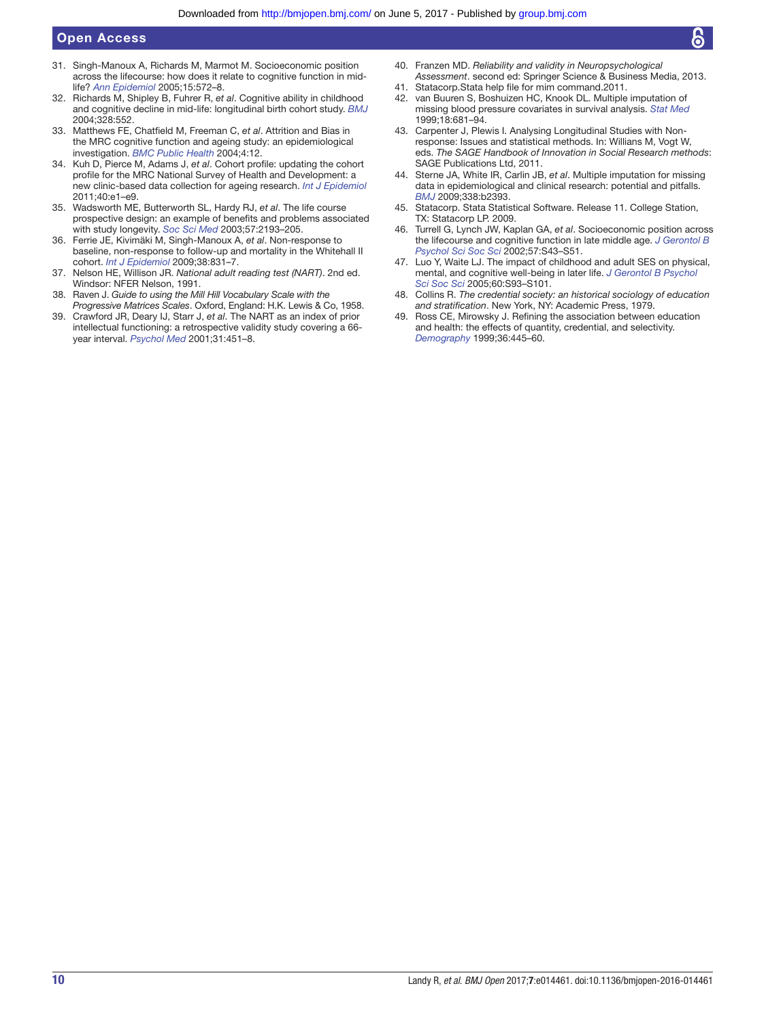- <span id="page-9-12"></span>31. Singh-Manoux A, Richards M, Marmot M. Socioeconomic position across the lifecourse: how does it relate to cognitive function in midlife? *[Ann Epidemiol](http://dx.doi.org/10.1016/j.annepidem.2004.10.007)* 2005;15:572–8.
- <span id="page-9-0"></span>32. Richards M, Shipley B, Fuhrer R, *et al*. Cognitive ability in childhood and cognitive decline in mid-life: longitudinal birth cohort study. *[BMJ](http://dx.doi.org/10.1136/bmj.37972.513819.EE)* 2004;328:552.
- 33. Matthews FE, Chatfield M, Freeman C, *et al*. Attrition and Bias in the MRC cognitive function and ageing study: an epidemiological investigation. *[BMC Public Health](http://dx.doi.org/10.1186/1471-2458-4-12)* 2004;4:12.
- <span id="page-9-1"></span>34. Kuh D, Pierce M, Adams J, *et al*. Cohort profile: updating the cohort profile for the MRC National Survey of Health and Development: a new clinic-based data collection for ageing research. *[Int J Epidemiol](http://dx.doi.org/10.1093/ije/dyq231)* 2011;40:e1–e9.
- <span id="page-9-2"></span>35. Wadsworth ME, Butterworth SL, Hardy RJ, *et al*. The life course prospective design: an example of benefits and problems associated with study longevity. *[Soc Sci Med](http://dx.doi.org/10.1016/S0277-9536(03)00083-2)* 2003;57:2193–205.
- <span id="page-9-3"></span>36. Ferrie JE, Kivimäki M, Singh-Manoux A, *et al*. Non-response to baseline, non-response to follow-up and mortality in the Whitehall II cohort. *[Int J Epidemiol](http://dx.doi.org/10.1093/ije/dyp153)* 2009;38:831–7.
- <span id="page-9-4"></span>37. Nelson HE, Willison JR. *National adult reading test (NART)*. 2nd ed. Windsor: NFER Nelson, 1991.
- <span id="page-9-5"></span>38. Raven J. *Guide to using the Mill Hill Vocabulary Scale with the Progressive Matrices Scales*. Oxford, England: H.K. Lewis & Co, 1958.
- <span id="page-9-6"></span>39. Crawford JR, Deary IJ, Starr J, *et al*. The NART as an index of prior intellectual functioning: a retrospective validity study covering a 66 year interval. *[Psychol Med](http://dx.doi.org/10.1017/S0033291701003634)* 2001;31:451–8.
- 40. Franzen MD. *Reliability and validity in Neuropsychological Assessment*. second ed: Springer Science & Business Media, 2013.
- <span id="page-9-7"></span>41. Statacorp.Stata help file for mim command.2011.
- <span id="page-9-8"></span>42. van Buuren S, Boshuizen HC, Knook DL. Multiple imputation of missing blood pressure covariates in survival analysis. *[Stat Med](http://dx.doi.org/10.1002/(SICI)1097-0258(19990330)18:6<681::AID-SIM71>3.0.CO;2-R)* 1999;18:681–94.
- <span id="page-9-9"></span>43. Carpenter J, Plewis I. Analysing Longitudinal Studies with Nonresponse: Issues and statistical methods. In: Willians M, Vogt W, eds. *The SAGE Handbook of Innovation in Social Research methods*: SAGE Publications Ltd, 2011.
- <span id="page-9-10"></span>44. Sterne JA, White IR, Carlin JB, *et al*. Multiple imputation for missing data in epidemiological and clinical research: potential and pitfalls. *[BMJ](http://dx.doi.org/10.1136/bmj.b2393)* 2009;338:b2393.
- <span id="page-9-11"></span>45. Statacorp. Stata Statistical Software. Release 11. College Station, TX: Statacorp LP. 2009.
- 46. Turrell G, Lynch JW, Kaplan GA, *et al*. Socioeconomic position across the lifecourse and cognitive function in late middle age. *[J Gerontol B](http://dx.doi.org/10.1093/geronb/57.1.S43)  [Psychol Sci Soc Sci](http://dx.doi.org/10.1093/geronb/57.1.S43)* 2002;57:S43–S51.
- 47. Luo Y, Waite LJ. The impact of childhood and adult SES on physical, mental, and cognitive well-being in later life. *[J Gerontol B Psychol](http://dx.doi.org/10.1093/geronb/60.2.S93)  [Sci Soc Sci](http://dx.doi.org/10.1093/geronb/60.2.S93)* 2005;60:S93–S101.
- <span id="page-9-13"></span>48. Collins R. *The credential society: an historical sociology of education and stratification*. New York, NY: Academic Press, 1979.
- <span id="page-9-14"></span>49. Ross CE, Mirowsky J. Refining the association between education and health: the effects of quantity, credential, and selectivity. *[Demography](http://dx.doi.org/10.2307/2648083)* 1999;36:445–60.